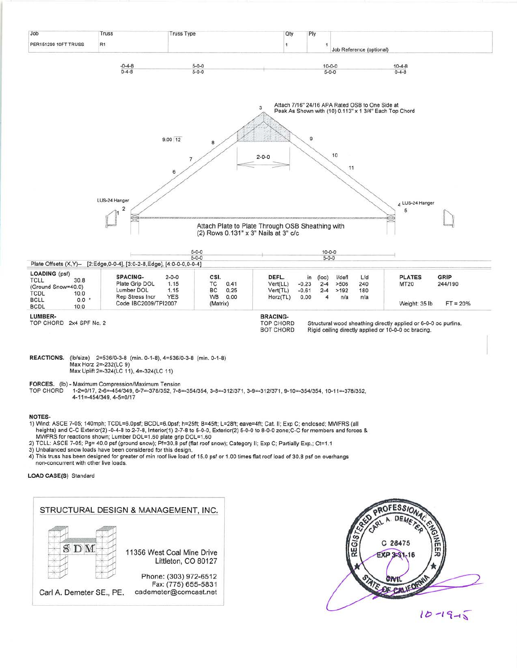

## **NOTES-**

- 1) Wind: ASCE 7-05; 140mph; TCDL=6.0psf; BCDL=6.0psf; h=25ft; B=45ft; L=28ft; eave=4ft; Cat. II; Exp C; enclosed; MWFRS (all heights) and C-C Exterior(2) -0-4-8 to 2-7-8, Interior(1) 2-7-8 to 5-0-0, Exterior(2) 5-0-0 to 8-0-0 zone; C-C for members and forces & MWFRS for reactions shown; Lumber DOL=1.60 plate grip DOL=1.60
- 2) TCLL: ASCE 7-05; Pg= 40.0 psf (ground snow); Pf=30.8 psf (flat roof snow); Category II; Exp C; Partially Exp.; Ct=1.1
- 3) Unbalanced snow loads have been considered for this design.
- 4) This truss has been designed for greater of min roof live load of 15.0 psf or 1.00 times flat roof load of 30.8 psf on overhangs non-concurrent with other live loads.

## LOAD CASE(S) Standard

## STRUCTURAL DESIGN & MANAGEMENT, INC. SDM 11356 West Coal Mine Drive Littleton, CO 80127 Phone: (303) 972-6512 Fax: (775) 655-5831 Carl A. Demeter SE., PE. cademeter@comcast.net